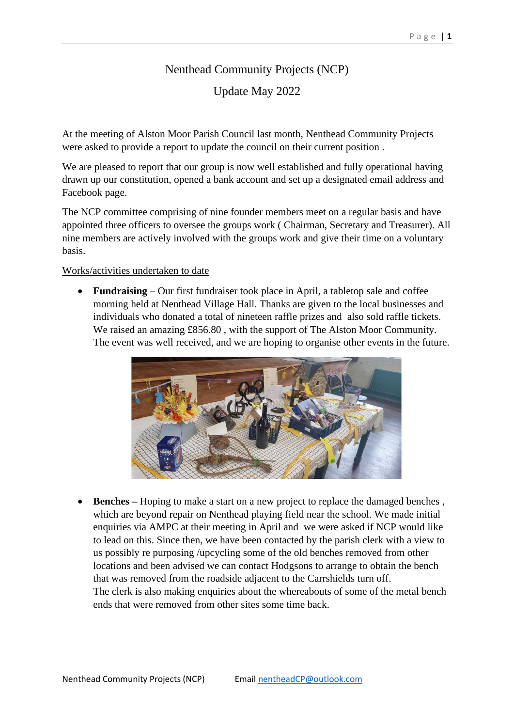## Nenthead Community Projects (NCP)

Update May 2022

At the meeting of Alston Moor Parish Council last month, Nenthead Community Projects were asked to provide a report to update the council on their current position .

We are pleased to report that our group is now well established and fully operational having drawn up our constitution, opened a bank account and set up a designated email address and Facebook page.

The NCP committee comprising of nine founder members meet on a regular basis and have appointed three officers to oversee the groups work ( Chairman, Secretary and Treasurer). All nine members are actively involved with the groups work and give their time on a voluntary basis.

## Works/activities undertaken to date

• **Fundraising** – Our first fundraiser took place in April, a tabletop sale and coffee morning held at Nenthead Village Hall. Thanks are given to the local businesses and individuals who donated a total of nineteen raffle prizes and also sold raffle tickets. We raised an amazing £856.80 , with the support of The Alston Moor Community. The event was well received, and we are hoping to organise other events in the future.



• **Benches –** Hoping to make a start on a new project to replace the damaged benches , which are beyond repair on Nenthead playing field near the school. We made initial enquiries via AMPC at their meeting in April and we were asked if NCP would like to lead on this. Since then, we have been contacted by the parish clerk with a view to us possibly re purposing /upcycling some of the old benches removed from other locations and been advised we can contact Hodgsons to arrange to obtain the bench that was removed from the roadside adjacent to the Carrshields turn off. The clerk is also making enquiries about the whereabouts of some of the metal bench ends that were removed from other sites some time back.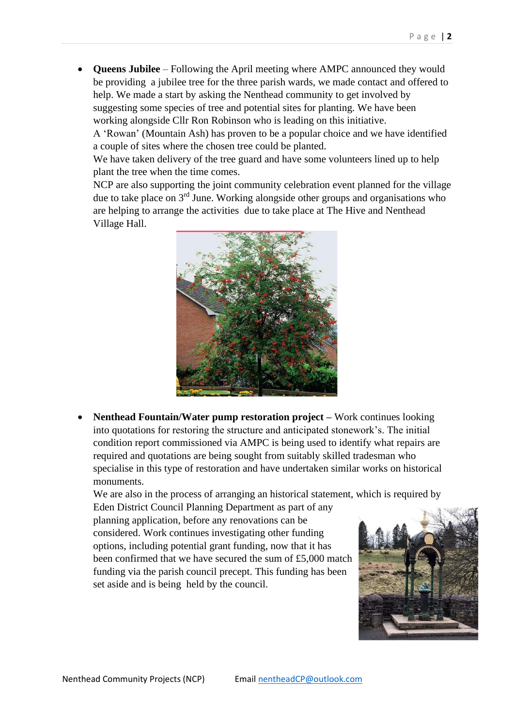• **Queens Jubilee** – Following the April meeting where AMPC announced they would be providing a jubilee tree for the three parish wards, we made contact and offered to help. We made a start by asking the Nenthead community to get involved by suggesting some species of tree and potential sites for planting. We have been working alongside Cllr Ron Robinson who is leading on this initiative.

A 'Rowan' (Mountain Ash) has proven to be a popular choice and we have identified a couple of sites where the chosen tree could be planted.

We have taken delivery of the tree guard and have some volunteers lined up to help plant the tree when the time comes.

NCP are also supporting the joint community celebration event planned for the village due to take place on 3rd June. Working alongside other groups and organisations who are helping to arrange the activities due to take place at The Hive and Nenthead Village Hall.



• **Nenthead Fountain/Water pump restoration project –** Work continues looking into quotations for restoring the structure and anticipated stonework's. The initial condition report commissioned via AMPC is being used to identify what repairs are required and quotations are being sought from suitably skilled tradesman who specialise in this type of restoration and have undertaken similar works on historical monuments.

We are also in the process of arranging an historical statement, which is required by

Eden District Council Planning Department as part of any planning application, before any renovations can be considered. Work continues investigating other funding options, including potential grant funding, now that it has been confirmed that we have secured the sum of £5,000 match funding via the parish council precept. This funding has been set aside and is being held by the council.